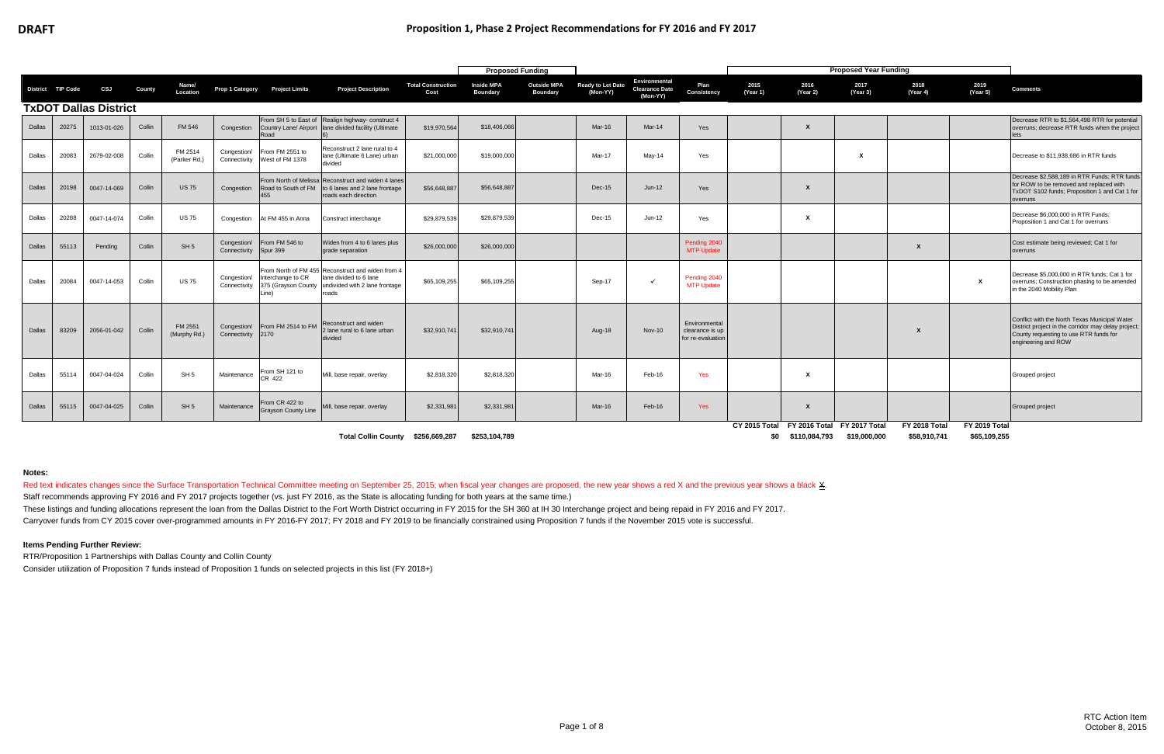Red text indicates changes since the Surface Transportation Technical Committee meeting on September 25, 2015; when fiscal year changes are proposed, the new year shows a red X and the previous year shows a black X. Staff recommends approving FY 2016 and FY 2017 projects together (vs. just FY 2016, as the State is allocating funding for both years at the same time.)

These listings and funding allocations represent the loan from the Dallas District to the Fort Worth District occurring in FY 2015 for the SH 360 at IH 30 Interchange project and being repaid in FY 2016 and FY 2017. Carryover funds from CY 2015 cover over-programmed amounts in FY 2016-FY 2017; FY 2018 and FY 2019 to be financially constrained using Proposition 7 funds if the November 2015 vote is successful.

|        |                   |                              |        |                         |                                  |                                                     |                                                                                                                        |                                   | <b>Proposed Funding</b>       |                                       |                               |                                                    |                                                       |                      |                           | <b>Proposed Year Funding</b>                |                               |                               |                                                                                                                                                                       |
|--------|-------------------|------------------------------|--------|-------------------------|----------------------------------|-----------------------------------------------------|------------------------------------------------------------------------------------------------------------------------|-----------------------------------|-------------------------------|---------------------------------------|-------------------------------|----------------------------------------------------|-------------------------------------------------------|----------------------|---------------------------|---------------------------------------------|-------------------------------|-------------------------------|-----------------------------------------------------------------------------------------------------------------------------------------------------------------------|
|        | District TIP Code | CSJ                          | County | Name/<br>Location       | Prop 1 Category                  | <b>Project Limits</b>                               | <b>Project Description</b>                                                                                             | <b>Total Construction</b><br>Cost | <b>Inside MPA</b><br>Boundary | <b>Outside MPA</b><br><b>Boundary</b> | Ready to Let Date<br>(Mon-YY) | Environmental<br><b>Clearance Date</b><br>(Mon-YY) | Plan<br>Consistency                                   | 2015<br>(Year 1)     | 2016<br>(Year 2)          | 2017<br>(Year 3)                            | 2018<br>(Year 4)              | 2019<br>(Year 5)              | <b>Comments</b>                                                                                                                                                       |
|        |                   | <b>TxDOT Dallas District</b> |        |                         |                                  |                                                     |                                                                                                                        |                                   |                               |                                       |                               |                                                    |                                                       |                      |                           |                                             |                               |                               |                                                                                                                                                                       |
| Dallas | 20275             | 1013-01-026                  | Collin | FM 546                  | Congestion                       | Road                                                | From SH 5 to East of Realign highway- construct 4<br>Country Lane/ Airport lane divided facility (Ultimate             | \$19,970,564                      | \$18,406,066                  |                                       | Mar-16                        | Mar-14                                             | Yes                                                   |                      | $\boldsymbol{\mathsf{x}}$ |                                             |                               |                               | Decrease RTR to \$1,564,498 RTR for potential<br>overruns; decrease RTR funds when the project<br>lets                                                                |
| Dallas | 20083             | 2679-02-008                  | Collin | FM 2514<br>(Parker Rd.) | Congestion/<br>Connectivity      | From FM 2551 to<br>West of FM 1378                  | Reconstruct 2 lane rural to 4<br>lane (Ultimate 6 Lane) urban<br>divided                                               | \$21,000,000                      | \$19,000,000                  |                                       | Mar-17                        | May-14                                             | Yes                                                   |                      |                           | $\boldsymbol{\mathsf{x}}$                   |                               |                               | Decrease to \$11,938,686 in RTR funds                                                                                                                                 |
| Dallas | 20198             | 0047-14-069                  | Collin | <b>US75</b>             | Congestion                       | From North of Melissa<br>Road to South of FM<br>455 | Reconstruct and widen 4 lanes<br>to 6 lanes and 2 lane frontage<br>roads each direction                                | \$56,648,887                      | \$56,648,887                  |                                       | Dec-15                        | $Jun-12$                                           | Yes                                                   |                      | $\boldsymbol{\mathsf{x}}$ |                                             |                               |                               | Decrease \$2,588,189 in RTR Funds; RTR funds<br>for ROW to be removed and replaced with<br>TxDOT S102 funds; Proposition 1 and Cat 1 for<br>overruns                  |
| Dallas | 20288             | 0047-14-074                  | Collin | <b>US75</b>             | Congestion                       | At FM 455 in Anna                                   | Construct interchange                                                                                                  | \$29,879,539                      | \$29,879,539                  |                                       | Dec-15                        | $Jun-12$                                           | Yes                                                   |                      | X                         |                                             |                               |                               | Decrease \$6,000,000 in RTR Funds;<br>Proposition 1 and Cat 1 for overruns                                                                                            |
| Dallas | 55113             | Pending                      | Collin | SH <sub>5</sub>         | Congestion/<br>Connectivity      | From FM 546 to<br>Spur 399                          | Widen from 4 to 6 lanes plus<br>grade separation                                                                       | \$26,000,000                      | \$26,000,000                  |                                       |                               |                                                    | Pending 2040<br><b>MTP Update</b>                     |                      |                           |                                             |                               |                               | Cost estimate being reviewed; Cat 1 for<br>overruns                                                                                                                   |
| Dallas | 20084             | 0047-14-053                  | Collin | <b>US75</b>             | Congestion/<br>Connectivity      | Interchange to CR<br>375 (Grayson County<br>Line)   | From North of FM 455 Reconstruct and widen from 4<br>lane divided to 6 lane<br>undivided with 2 lane frontage<br>roads | \$65,109,255                      | \$65,109,255                  |                                       | Sep-17                        | $\checkmark$                                       | Pending 2040<br><b>MTP Update</b>                     |                      |                           |                                             |                               | X                             | Decrease \$5,000,000 in RTR funds; Cat 1 for<br>overruns; Construction phasing to be amended<br>in the 2040 Mobility Plan                                             |
| Dallas | 83209             | 2056-01-042                  | Collin | FM 2551<br>(Murphy Rd.) | Congestion/<br>Connectivity 2170 | From FM 2514 to FM                                  | Reconstruct and widen<br>2 lane rural to 6 lane urban<br>divided                                                       | \$32,910,741                      | \$32,910,74                   |                                       | Aug-18                        | <b>Nov-10</b>                                      | Environmental<br>clearance is up<br>for re-evaluation |                      |                           |                                             |                               |                               | Conflict with the North Texas Municipal Water<br>District project in the corridor may delay project;<br>County requesting to use RTR funds for<br>engineering and ROW |
| Dallas | 55114             | 0047-04-024                  | Collin | SH <sub>5</sub>         | Maintenance                      | From SH 121 to<br>CR 422                            | Mill, base repair, overlay                                                                                             | \$2,818,320                       | \$2,818,320                   |                                       | Mar-16                        | Feb-16                                             | Yes                                                   |                      | X                         |                                             |                               |                               | Grouped project                                                                                                                                                       |
| Dallas | 55115             | 0047-04-025                  | Collin | SH 5                    | Maintenance                      | From CR 422 to<br><b>Grayson County Line</b>        | Mill, base repair, overlay                                                                                             | \$2,331,981                       | \$2,331,98                    |                                       | Mar-16                        | Feb-16                                             | <b>Yes</b>                                            |                      | $\boldsymbol{\mathsf{x}}$ |                                             |                               |                               | Grouped project                                                                                                                                                       |
|        |                   |                              |        |                         |                                  |                                                     | <b>Total Collin County</b>                                                                                             | \$256.669.287                     | \$253.104.789                 |                                       |                               |                                                    |                                                       | CY 2015 Total<br>\$0 | \$110,084,793             | FY 2016 Total FY 2017 Total<br>\$19,000,000 | FY 2018 Total<br>\$58,910,741 | FY 2019 Total<br>\$65,109,255 |                                                                                                                                                                       |

**Notes:**

### **Items Pending Further Review:**

RTR/Proposition 1 Partnerships with Dallas County and Collin County

Consider utilization of Proposition 7 funds instead of Proposition 1 funds on selected projects in this list (FY 2018+)

**Total Collin County**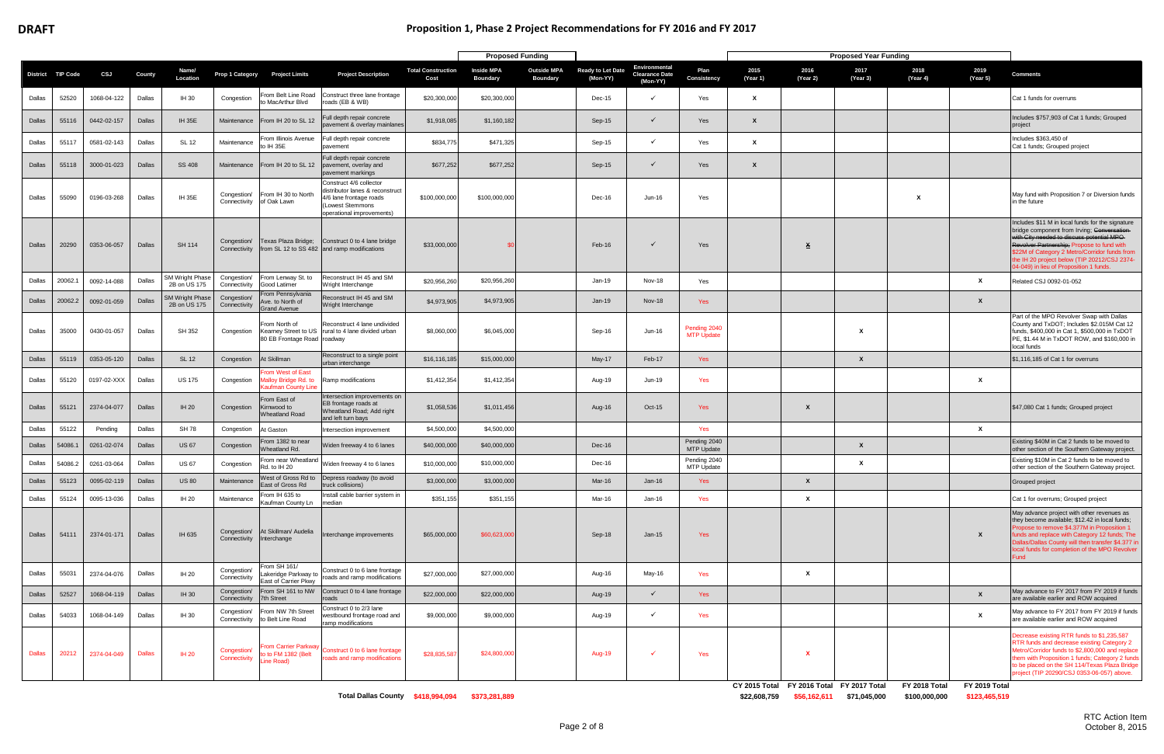|               |                   |             |               |                                        |                                        |                                                                  |                                                                                                                                       |                                   |                                      | <b>Proposed Funding</b>               |                                      |                                                    |                                   |                  |                           | <b>Proposed Year Funding</b> |                                                         |                  |                                                                                                                                                                                                                                                                                                                                        |
|---------------|-------------------|-------------|---------------|----------------------------------------|----------------------------------------|------------------------------------------------------------------|---------------------------------------------------------------------------------------------------------------------------------------|-----------------------------------|--------------------------------------|---------------------------------------|--------------------------------------|----------------------------------------------------|-----------------------------------|------------------|---------------------------|------------------------------|---------------------------------------------------------|------------------|----------------------------------------------------------------------------------------------------------------------------------------------------------------------------------------------------------------------------------------------------------------------------------------------------------------------------------------|
|               | District TIP Code | CSJ         | County        | Name/<br>Location                      | Prop 1 Category                        | <b>Project Limits</b>                                            | <b>Project Description</b>                                                                                                            | <b>Total Construction</b><br>Cost | <b>Inside MPA</b><br><b>Boundary</b> | <b>Outside MPA</b><br><b>Boundary</b> | <b>Ready to Let Date</b><br>(Mon-YY) | Environmental<br><b>Clearance Date</b><br>(Mon-YY) | Plan<br>Consistency               | 2015<br>(Year 1) | 2016<br>(Year 2)          | 2017<br>(Year 3)             | 2018<br>(Year 4)                                        | 2019<br>(Year 5) | <b>Comments</b>                                                                                                                                                                                                                                                                                                                        |
| Dallas        | 52520             | 1068-04-122 | Dallas        | IH 30                                  | Congestion                             | From Belt Line Road<br>to MacArthur Blvd                         | Construct three lane frontage<br>oads (EB & WB)                                                                                       | \$20,300,000                      | \$20,300,000                         |                                       | Dec-15                               | $\checkmark$                                       | Yes                               | x                |                           |                              |                                                         |                  | Cat 1 funds for overruns                                                                                                                                                                                                                                                                                                               |
| Dallas        | 55116             | 0442-02-157 | Dallas        | <b>IH 35E</b>                          | Maintenance                            | From IH 20 to SL 12                                              | ull depth repair concrete<br>avement & overlay mainlanes                                                                              | \$1,918,085                       | \$1,160,182                          |                                       | $Sep-15$                             | $\checkmark$                                       | Yes                               | X                |                           |                              |                                                         |                  | Includes \$757,903 of Cat 1 funds; Grouped<br>project                                                                                                                                                                                                                                                                                  |
| Dallas        | 55117             | 0581-02-143 | Dallas        | <b>SL 12</b>                           | Maintenance                            | From Illinois Avenue<br>to IH 35E                                | Full depth repair concrete<br>pavement                                                                                                | \$834,775                         | \$471,325                            |                                       | Sep-15                               | $\checkmark$                                       | Yes                               | x                |                           |                              |                                                         |                  | Includes \$363,450 of<br>Cat 1 funds; Grouped project                                                                                                                                                                                                                                                                                  |
| Dallas        | 55118             | 3000-01-023 | Dallas        | <b>SS 408</b>                          | Maintenance                            | From IH 20 to SL 12                                              | Full depth repair concrete<br>pavement, overlay and<br>pavement markings                                                              | \$677,252                         | \$677,252                            |                                       | Sep-15                               | $\checkmark$                                       | Yes                               | X                |                           |                              |                                                         |                  |                                                                                                                                                                                                                                                                                                                                        |
| Dallas        | 55090             | 0196-03-268 | Dallas        | <b>IH 35E</b>                          | Congestion/                            | From IH 30 to North<br>Connectivity of Oak Lawn                  | Construct 4/6 collector<br>distributor lanes & reconstruct<br>1/6 lane frontage roads<br>Lowest Stemmons<br>operational improvements) | \$100,000,000                     | \$100,000,000                        |                                       | Dec-16                               | Jun-16                                             | Yes                               |                  |                           |                              |                                                         |                  | May fund with Proposition 7 or Diversion funds<br>in the future                                                                                                                                                                                                                                                                        |
| Dallas        | 20290             | 0353-06-057 | Dallas        | <b>SH 114</b>                          | Congestion/<br>Connectivity            |                                                                  | Texas Plaza Bridge; Construct 0 to 4 lane bridge<br>from SL 12 to SS 482 and ramp modifications                                       | \$33,000,000                      | -\$0                                 |                                       | Feb-16                               | $\checkmark$                                       | Yes                               |                  | $\overline{\mathbf{x}}$   |                              |                                                         |                  | Includes \$11 M in local funds for the signature<br>bridge component from Irving; Conversation-<br>with City needed to discuss potential MPO-<br>Revolver Partnership: Propose to fund with<br>\$22M of Category 2 Metro/Corridor funds from<br>the IH 20 project below (TIP 20212/CSJ 2374-<br>4-049) in lieu of Proposition 1 funds. |
| Dallas        | 20062.            | 0092-14-088 | Dallas        | <b>SM Wright Phase</b><br>2B on US 175 | Congestion/<br>Connectivity            | From Lenway St. to<br>Good Latimer                               | Reconstruct IH 45 and SM<br>Wright Interchange                                                                                        | \$20,956,26                       | \$20,956,260                         |                                       | $Jan-19$                             | <b>Nov-18</b>                                      | Yes                               |                  |                           |                              |                                                         | $\mathsf{x}$     | Related CSJ 0092-01-052                                                                                                                                                                                                                                                                                                                |
| Dallas        | 20062.2           | 0092-01-059 | Dallas        | <b>SM Wright Phase</b><br>2B on US 175 | Congestion/<br>Connectivity            | From Pennsylvania<br>Ave. to North of<br><b>Grand Avenue</b>     | Reconstruct IH 45 and SM<br>Wright Interchange                                                                                        | \$4,973,905                       | \$4,973,905                          |                                       | $Jan-19$                             | <b>Nov-18</b>                                      | Yes                               |                  |                           |                              |                                                         | $\boldsymbol{x}$ |                                                                                                                                                                                                                                                                                                                                        |
| Dallas        | 35000             | 0430-01-057 | Dallas        | SH 352                                 | Congestion                             | From North of<br>80 EB Frontage Road roadway                     | Reconstruct 4 lane undivided<br>Kearney Street to US Trural to 4 lane divided urban                                                   | \$8,060,000                       | \$6,045,000                          |                                       | Sep-16                               | Jun-16                                             | Pending 2040<br><b>MTP Update</b> |                  |                           | X                            |                                                         |                  | Part of the MPO Revolver Swap with Dallas<br>County and TxDOT; Includes \$2.015M Cat 12<br>funds, \$400,000 in Cat 1, \$500,000 in TxDOT<br>PE, \$1.44 M in TxDOT ROW, and \$160,000 in<br>local funds                                                                                                                                 |
| Dallas        | 55119             | 0353-05-120 | Dallas        | <b>SL 12</b>                           | Congestion                             | At Skillman                                                      | Reconstruct to a single point<br>urban interchange                                                                                    | \$16,116,185                      | \$15,000,000                         |                                       | May-17                               | Feb-17                                             | Yes                               |                  |                           | X                            |                                                         |                  | \$1,116,185 of Cat 1 for overruns                                                                                                                                                                                                                                                                                                      |
| Dallas        | 55120             | 0197-02-XXX | Dallas        | <b>US 175</b>                          | Congestion                             | From West of East<br>falloy Bridge Rd. to<br>Kaufman County Line | Ramp modifications                                                                                                                    | \$1,412,354                       | \$1,412,354                          |                                       | Aug-19                               | Jun-19                                             | Yes                               |                  |                           |                              |                                                         | X                |                                                                                                                                                                                                                                                                                                                                        |
| Dallas        | 55121             | 2374-04-077 | Dallas        | <b>IH 20</b>                           | Congestion                             | From East of<br>Kirnwood to<br><b>Wheatland Road</b>             | Intersection improvements on<br>EB frontage roads at<br>Wheatland Road; Add right<br>and left turn bays                               | \$1,058,536                       | \$1,011,456                          |                                       | Aug-16                               | Oct-15                                             | Yes                               |                  | X                         |                              |                                                         |                  | \$47,080 Cat 1 funds; Grouped project                                                                                                                                                                                                                                                                                                  |
| Dallas        | 55122             | Pending     | Dallas        | <b>SH 78</b>                           | Congestion                             | At Gaston                                                        | ntersection improvement                                                                                                               | \$4,500,000                       | \$4,500,000                          |                                       |                                      |                                                    | Yes                               |                  |                           |                              |                                                         | X                |                                                                                                                                                                                                                                                                                                                                        |
| Dallas        | 54086.            | 0261-02-074 | Dallas        | <b>US 67</b>                           | Congestion                             | From 1382 to near<br>Wheatland Rd.                               | Widen freeway 4 to 6 lanes                                                                                                            | \$40,000,000                      | \$40,000,000                         |                                       | Dec-16                               |                                                    | Pending 2040<br><b>MTP Update</b> |                  |                           | X                            |                                                         |                  | Existing \$40M in Cat 2 funds to be moved to<br>other section of the Southern Gateway project.                                                                                                                                                                                                                                         |
| Dallas        | 54086.2           | 0261-03-064 | Dallas        | <b>US 67</b>                           | Congestion                             | Rd. to IH 20                                                     | From near Wheatland Widen freeway 4 to 6 lanes                                                                                        | \$10,000,000                      | \$10,000,000                         |                                       | Dec-16                               |                                                    | Pending 2040<br>MTP Update        |                  |                           | X                            |                                                         |                  | Existing \$10M in Cat 2 funds to be moved to<br>other section of the Southern Gateway project.                                                                                                                                                                                                                                         |
| Dallas        | 55123             | 0095-02-119 | Dallas        | <b>US 80</b>                           | Maintenance                            | East of Gross Rd                                                 | West of Gross Rd to Depress roadway (to avoid<br>truck collisions)                                                                    | \$3,000,000                       | \$3,000,000                          |                                       | Mar-16                               | $Jan-16$                                           | Yes                               |                  | $\pmb{\chi}$              |                              |                                                         |                  | Grouped project                                                                                                                                                                                                                                                                                                                        |
| Dallas        | 55124             | 0095-13-036 | Dallas        | <b>IH 20</b>                           | Maintenance                            | From IH 635 to<br>Kaufman County Ln                              | Install cable barrier system in<br>median                                                                                             | \$351,155                         | \$351,155                            |                                       | Mar-16                               | $Jan-16$                                           | Yes                               |                  | $\mathbf{x}$              |                              |                                                         |                  | Cat 1 for overruns; Grouped project                                                                                                                                                                                                                                                                                                    |
| Dallas        | 54111             | 2374-01-171 | Dallas        | IH 635                                 |                                        | Congestion/ At Skillman/ Audelia<br>Connectivity Interchange     | Interchange improvements                                                                                                              | \$65,000,000                      | \$60,623,000                         |                                       | Sep-18                               | $Jan-15$                                           | Yes                               |                  |                           |                              |                                                         | X                | May advance project with other revenues as<br>they become available; \$12.42 in local funds;<br>Propose to remove \$4.377M in Proposition 1<br>funds and replace with Category 12 funds; The<br>Dallas/Dallas County will then transfer \$4.377 in<br>local funds for completion of the MPO Revolver<br>=und                           |
| Dallas        | 55031             | 2374-04-076 | Dallas        | IH 20                                  | Congestion/<br>Connectivity            | From SH 161/<br>Lakeridge Parkway to<br>East of Carrier Pkwy     | Construct 0 to 6 lane frontage<br>roads and ramp modifications                                                                        | \$27,000,000                      | \$27,000,000                         |                                       | Aug-16                               | May-16                                             | Yes                               |                  | $\mathbf{x}$              |                              |                                                         |                  |                                                                                                                                                                                                                                                                                                                                        |
| Dallas        | 52527             | 1068-04-119 | Dallas        | <b>IH 30</b>                           | Congestion/<br>Connectivity 7th Street |                                                                  | From SH 161 to NW Construct 0 to 4 lane frontage<br>oads                                                                              | \$22,000,000                      | \$22,000,000                         |                                       | Aug-19                               | $\checkmark$                                       | Yes                               |                  |                           |                              |                                                         | $\mathsf{x}$     | May advance to FY 2017 from FY 2019 if funds<br>are available earlier and ROW acquired                                                                                                                                                                                                                                                 |
| Dallas        | 54033             | 1068-04-149 | Dallas        | IH 30                                  | Congestion/                            | From NW 7th Street<br>Connectivity to Belt Line Road             | Construct 0 to 2/3 lane<br>vestbound frontage road and<br>ramp modifications                                                          | \$9,000,000                       | \$9,000,000                          |                                       | Aug-19                               | $\checkmark$                                       | Yes                               |                  |                           |                              |                                                         | $\mathbf{x}$     | May advance to FY 2017 from FY 2019 if funds<br>are available earlier and ROW acquired                                                                                                                                                                                                                                                 |
| <b>Dallas</b> | 20212             | 2374-04-049 | <b>Dallas</b> | <b>IH 20</b>                           | Congestion/<br>Connectivity            | <b>From Carrier Parkway</b><br>to to FM 1382 (Belt<br>Line Road) | Construct 0 to 6 lane frontage<br>roads and ramp modifications                                                                        | \$28,835,587                      | \$24,800,000                         |                                       | <b>Aug-19</b>                        |                                                    | Yes                               |                  | $\boldsymbol{\mathsf{x}}$ |                              |                                                         |                  | Decrease existing RTR funds to \$1,235,587<br>RTR funds and decrease existing Category 2<br>Metro/Corridor funds to \$2,800,000 and replace<br>them with Proposition 1 funds; Category 2 funds<br>to be placed on the SH 114/Texas Plaza Bridge<br>project (TIP 20290/CSJ 0353-06-057) above.                                          |
|               |                   |             |               |                                        |                                        |                                                                  |                                                                                                                                       |                                   |                                      |                                       |                                      |                                                    |                                   |                  |                           |                              | CY 2015 Total FY 2016 Total FY 2017 Total FY 2018 Total | FY 2019 Total    |                                                                                                                                                                                                                                                                                                                                        |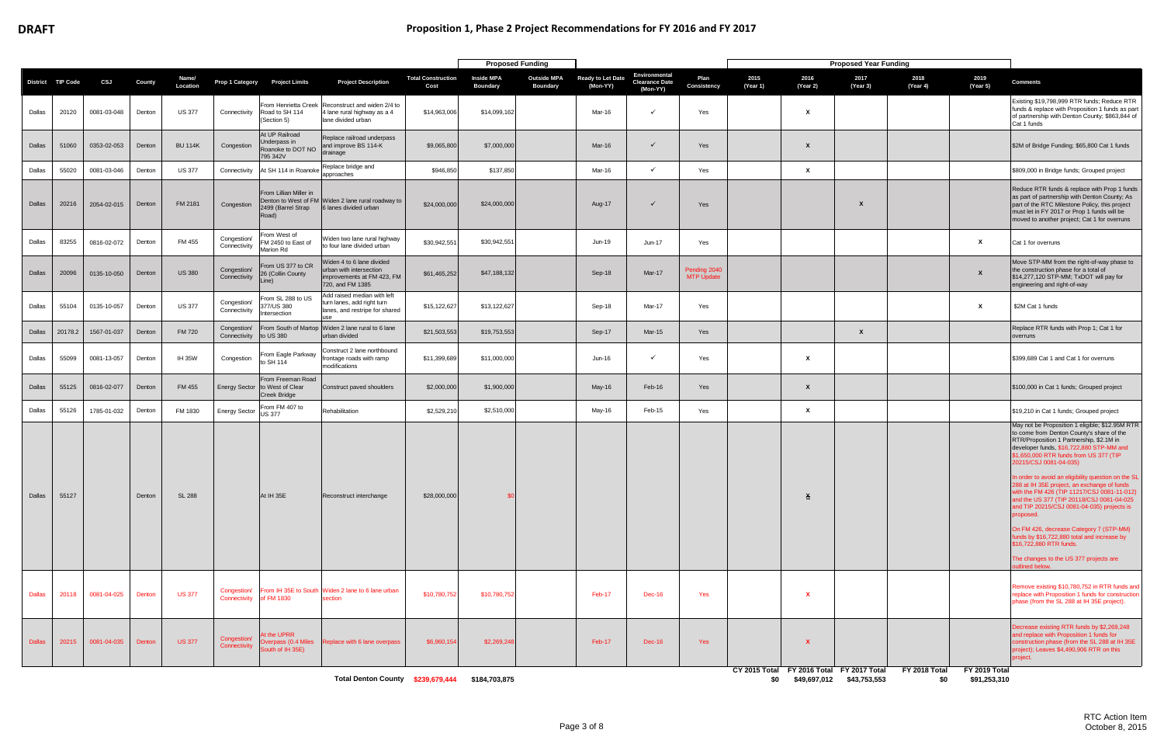|               |                   |             |               |                   |                             |                                                                            |                                                                                                        |                                   | <b>Proposed Funding</b>              |                                       |                               |                                                    |                                   |                  |                           | <b>Proposed Year Funding</b>                                               |                      |                               |                                                                                                                                                                                                                                                                                                                                                                                                                                                                                                                                                                                                                                                                                                         |
|---------------|-------------------|-------------|---------------|-------------------|-----------------------------|----------------------------------------------------------------------------|--------------------------------------------------------------------------------------------------------|-----------------------------------|--------------------------------------|---------------------------------------|-------------------------------|----------------------------------------------------|-----------------------------------|------------------|---------------------------|----------------------------------------------------------------------------|----------------------|-------------------------------|---------------------------------------------------------------------------------------------------------------------------------------------------------------------------------------------------------------------------------------------------------------------------------------------------------------------------------------------------------------------------------------------------------------------------------------------------------------------------------------------------------------------------------------------------------------------------------------------------------------------------------------------------------------------------------------------------------|
|               | District TIP Code | CSJ         | County        | Name/<br>Location | Prop 1 Category             | <b>Project Limits</b>                                                      | <b>Project Description</b>                                                                             | <b>Total Construction</b><br>Cost | <b>Inside MPA</b><br><b>Boundary</b> | <b>Outside MPA</b><br><b>Boundary</b> | Ready to Let Date<br>(Mon-YY) | Environmental<br><b>Clearance Date</b><br>(Mon-YY) | Plan<br>Consistency               | 2015<br>(Year 1) | 2016<br>(Year 2)          | 2017<br>(Year 3)                                                           | 2018<br>(Year 4)     | 2019<br>(Year 5)              | <b>Comments</b>                                                                                                                                                                                                                                                                                                                                                                                                                                                                                                                                                                                                                                                                                         |
| Dallas        | 20120             | 0081-03-048 | Denton        | <b>US 377</b>     | Connectivity                | Road to SH 114<br>(Section 5)                                              | From Henrietta Creek Reconstruct and widen 2/4 to<br>4 lane rural highway as a 4<br>lane divided urban | \$14,963,006                      | \$14,099,162                         |                                       | Mar-16                        | $\checkmark$                                       | Yes                               |                  | X                         |                                                                            |                      |                               | Existing \$19,798,999 RTR funds; Reduce RTR<br>funds & replace with Proposition 1 funds as part<br>of partnership with Denton County; \$863,844 of<br>Cat 1 funds                                                                                                                                                                                                                                                                                                                                                                                                                                                                                                                                       |
| Dallas        | 51060             | 0353-02-053 | Denton        | <b>BU 114K</b>    | Congestion                  | At UP Railroad<br>Underpass in<br>Roanoke to DOT NO<br>795 342V            | Replace railroad underpass<br>and improve BS 114-K<br>drainage                                         | \$9,065,800                       | \$7,000,000                          |                                       | Mar-16                        | $\checkmark$                                       | Yes                               |                  | X                         |                                                                            |                      |                               | \$2M of Bridge Funding; \$65,800 Cat 1 funds                                                                                                                                                                                                                                                                                                                                                                                                                                                                                                                                                                                                                                                            |
| Dallas        | 55020             | 0081-03-046 | Denton        | <b>US 377</b>     | Connectivity                | At SH 114 in Roanoke                                                       | Replace bridge and<br>approaches                                                                       | \$946,850                         | \$137,850                            |                                       | Mar-16                        | $\checkmark$                                       | Yes                               |                  | $\mathbf{x}$              |                                                                            |                      |                               | \$809,000 in Bridge funds; Grouped project                                                                                                                                                                                                                                                                                                                                                                                                                                                                                                                                                                                                                                                              |
| Dallas        | 20216             | 2054-02-015 | Denton        | FM 2181           | Congestion                  | From Lillian Miller in<br>2499 (Barrel Strap<br>Road)                      | Denton to West of FM Widen 2 lane rural roadway to<br>6 lanes divided urban                            | \$24,000,000                      | \$24,000,000                         |                                       | Aug-17                        | $\checkmark$                                       | Yes                               |                  |                           | $\boldsymbol{\mathsf{x}}$                                                  |                      |                               | Reduce RTR funds & replace with Prop 1 funds<br>as part of partnership with Denton County; As<br>part of the RTC Milestone Policy, this project<br>must let in FY 2017 or Prop 1 funds will be<br>moved to another project; Cat 1 for overruns                                                                                                                                                                                                                                                                                                                                                                                                                                                          |
| Dallas        | 83255             | 0816-02-072 | Denton        | FM 455            | Congestion/<br>Connectivity | From West of<br>FM 2450 to East of<br>Marion Rd                            | Viden two lane rural highway<br>to four lane divided urban                                             | \$30,942,551                      | \$30,942,551                         |                                       | Jun-19                        | Jun-17                                             | Yes                               |                  |                           |                                                                            |                      | x                             | Cat 1 for overruns                                                                                                                                                                                                                                                                                                                                                                                                                                                                                                                                                                                                                                                                                      |
| Dallas        | 20096             | 0135-10-050 | Denton        | <b>US 380</b>     | Congestion/<br>Connectivity | From US 377 to CR<br>26 (Collin County<br>Line)                            | Viden 4 to 6 lane divided<br>urban with intersection<br>improvements at FM 423, FM<br>720, and FM 1385 | \$61,465,252                      | \$47,188,132                         |                                       | Sep-18                        | Mar-17                                             | Pending 2040<br><b>MTP Update</b> |                  |                           |                                                                            |                      | X                             | Move STP-MM from the right-of-way phase to<br>the construction phase for a total of<br>\$14,277,120 STP-MM; TxDOT will pay for<br>engineering and right-of-way                                                                                                                                                                                                                                                                                                                                                                                                                                                                                                                                          |
| Dallas        | 55104             | 0135-10-057 | Denton        | <b>US 377</b>     | Congestion/<br>Connectivity | From SL 288 to US<br>77/US 380<br>Intersection                             | Add raised median with left<br>turn lanes, add right turn<br>lanes, and restripe for shared            | \$15,122,627                      | \$13,122,627                         |                                       | Sep-18                        | Mar-17                                             | Yes                               |                  |                           |                                                                            |                      | x                             | \$2M Cat 1 funds                                                                                                                                                                                                                                                                                                                                                                                                                                                                                                                                                                                                                                                                                        |
| Dallas        | 20178.2           | 1567-01-037 | Denton        | <b>FM 720</b>     | Congestion/<br>Connectivity | to US 380                                                                  | From South of Martop Widen 2 lane rural to 6 lane<br>urban divided                                     | \$21,503,553                      | \$19,753,553                         |                                       | Sep-17                        | <b>Mar-15</b>                                      | Yes                               |                  |                           | X                                                                          |                      |                               | Replace RTR funds with Prop 1; Cat 1 for<br>overruns                                                                                                                                                                                                                                                                                                                                                                                                                                                                                                                                                                                                                                                    |
| Dallas        | 55099             | 0081-13-057 | Denton        | <b>IH 35W</b>     | Congestion                  | From Eagle Parkway<br>to SH 114                                            | Construct 2 lane northbound<br>ontage roads with ramp<br>modifications                                 | \$11,399,689                      | \$11,000,000                         |                                       | Jun-16                        | $\checkmark$                                       | Yes                               |                  | X                         |                                                                            |                      |                               | \$399,689 Cat 1 and Cat 1 for overruns                                                                                                                                                                                                                                                                                                                                                                                                                                                                                                                                                                                                                                                                  |
| Dallas        | 55125             | 0816-02-077 | Denton        | FM 455            |                             | From Freeman Road<br>Energy Sector to West of Clear<br><b>Creek Bridge</b> | Construct paved shoulders                                                                              | \$2,000,000                       | \$1,900,000                          |                                       | May-16                        | Feb-16                                             | Yes                               |                  | $\boldsymbol{x}$          |                                                                            |                      |                               | \$100,000 in Cat 1 funds; Grouped project                                                                                                                                                                                                                                                                                                                                                                                                                                                                                                                                                                                                                                                               |
| Dallas        | 55126             | 1785-01-032 | Denton        | FM 1830           | <b>Energy Sector</b>        | From FM 407 to<br>US 377                                                   | Rehabilitation                                                                                         | \$2,529,210                       | \$2,510,000                          |                                       | May-16                        | Feb-15                                             | Yes                               |                  | X                         |                                                                            |                      |                               | \$19,210 in Cat 1 funds; Grouped project                                                                                                                                                                                                                                                                                                                                                                                                                                                                                                                                                                                                                                                                |
| Dallas        | 55127             |             | Denton        | <b>SL 288</b>     |                             | At IH 35E                                                                  | Reconstruct interchange                                                                                | \$28,000,000                      | \$ <sub>0</sub>                      |                                       |                               |                                                    |                                   |                  | $\overline{\mathbf{x}}$   |                                                                            |                      |                               | May not be Proposition 1 eligible; \$12.95M RTR<br>to come from Denton County's share of the<br>RTR/Proposition 1 Partnership, \$2.1M in<br>developer funds, \$16,722,880 STP-MM and<br>\$1,650,000 RTR funds from US 377 (TIP<br>20215/CSJ 0081-04-035)<br>In order to avoid an eligibility question on the SL<br>288 at IH 35E project, an exchange of funds<br>with the FM 426 (TIP 11217/CSJ 0081-11-012)<br>and the US 377 (TIP 20118/CSJ 0081-04-025<br>and TIP 20215/CSJ 0081-04-035) projects is<br>proposed.<br>On FM 426, decrease Category 7 (STP-MM)<br>funds by \$16,722,880 total and increase by<br>\$16,722,880 RTR funds.<br>The changes to the US 377 projects are<br>outlined below. |
| <b>Dallas</b> | 20118             | 0081-04-025 | <b>Denton</b> | <b>US 377</b>     | Connectivity of FM 1830     |                                                                            | Congestion/ From IH 35E to South Widen 2 lane to 6 lane urban<br>section                               | \$10,780,752                      | \$10,780,752                         |                                       | Feb-17                        | <b>Dec-16</b>                                      | Yes                               |                  | X                         |                                                                            |                      |                               | Remove existing \$10,780,752 in RTR funds and<br>replace with Proposition 1 funds for construction<br>phase (from the SL 288 at IH 35E project).                                                                                                                                                                                                                                                                                                                                                                                                                                                                                                                                                        |
| Dallas        | 20215             | 0081-04-035 | Denton        | <b>US 377</b>     | Congestion/<br>Connectivity | At the UPRR<br>South of IH 35E)                                            | Overpass (0.4 Miles Replace with 6 lane overpass                                                       | \$6,960,154                       | \$2,269,248                          |                                       | Feb-17                        | Dec-16                                             | Yes                               |                  | $\boldsymbol{\mathsf{x}}$ |                                                                            |                      |                               | Decrease existing RTR funds by \$2,269,248<br>and replace with Proposition 1 funds for<br>construction phase (from the SL 288 at IH 35E<br>project); Leaves \$4,490,906 RTR on this<br>project.                                                                                                                                                                                                                                                                                                                                                                                                                                                                                                         |
|               |                   |             |               |                   |                             |                                                                            | Total Denton County \$239,679,444 \$184,703,875                                                        |                                   |                                      |                                       |                               |                                                    |                                   |                  |                           | CY 2015 Total FY 2016 Total FY 2017 Total<br>\$0 \$49,697,012 \$43,753,553 | FY 2018 Total<br>\$0 | FY 2019 Total<br>\$91,253,310 |                                                                                                                                                                                                                                                                                                                                                                                                                                                                                                                                                                                                                                                                                                         |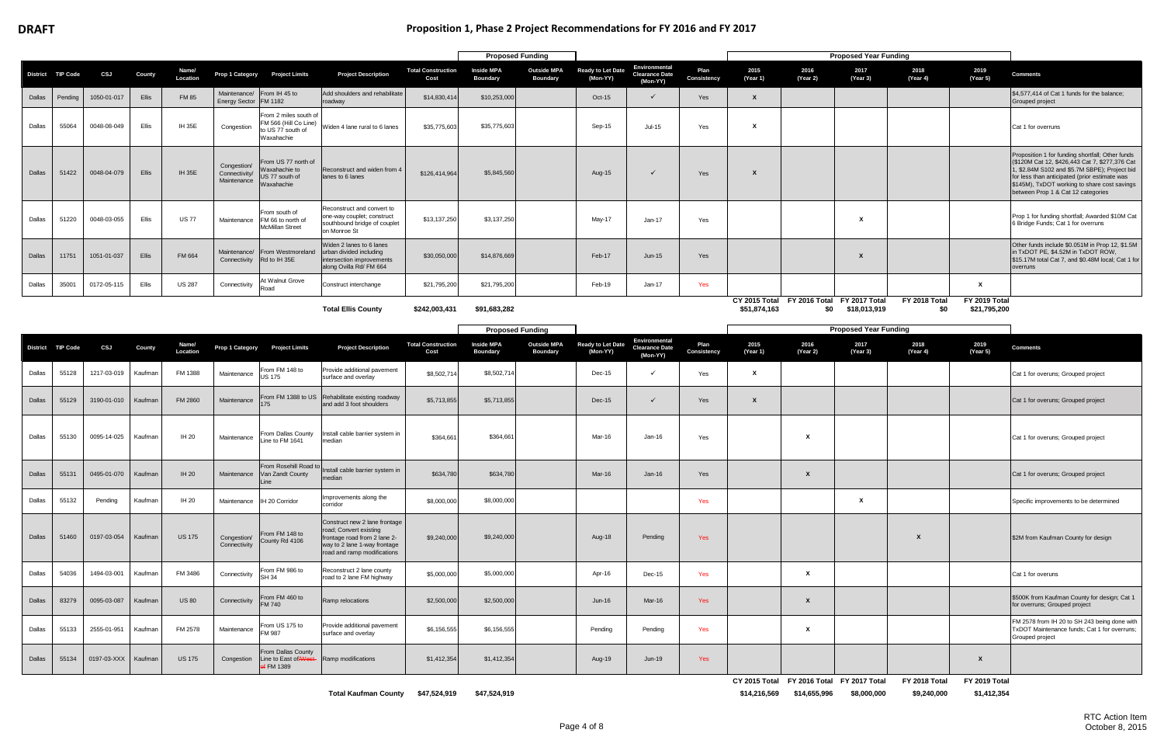## **DRAFT Proposition 1, Phase 2 Project Recommendations for FY 2016 and FY 2017**

|        |                   |             |         |                   |                                             |                                                                                 |                                                                                                                                                        |                                   | <b>Proposed Funding</b>              |                                       |                                      |                                                    |                     |                  |                                                                        | <b>Proposed Year Funding</b> |                              |                               |                                                                                                                                                                                                                                                                                            |
|--------|-------------------|-------------|---------|-------------------|---------------------------------------------|---------------------------------------------------------------------------------|--------------------------------------------------------------------------------------------------------------------------------------------------------|-----------------------------------|--------------------------------------|---------------------------------------|--------------------------------------|----------------------------------------------------|---------------------|------------------|------------------------------------------------------------------------|------------------------------|------------------------------|-------------------------------|--------------------------------------------------------------------------------------------------------------------------------------------------------------------------------------------------------------------------------------------------------------------------------------------|
|        | District TIP Code | CSJ         | County  | Name/<br>Location | Prop 1 Category                             | <b>Project Limits</b>                                                           | <b>Project Description</b>                                                                                                                             | <b>Total Construction</b><br>Cost | <b>Inside MPA</b><br>Boundary        | <b>Outside MPA</b><br><b>Boundary</b> | <b>Ready to Let Date</b><br>(Mon-YY) | Environmental<br><b>Clearance Date</b><br>(Mon-YY) | Plan<br>Consistency | 2015<br>(Year 1) | 2016<br>(Year 2)                                                       | 2017<br>(Year 3)             | 2018<br>(Year 4)             | 2019<br>(Year 5)              | <b>Comments</b>                                                                                                                                                                                                                                                                            |
| Dallas | Pending           | 1050-01-017 | Ellis   | <b>FM 85</b>      | Energy Sector   FM 1182                     | Maintenance/ From IH 45 to                                                      | Add shoulders and rehabilitate<br>roadway                                                                                                              | \$14,830,414                      | \$10,253,000                         |                                       | Oct-15                               | $\checkmark$                                       | Yes                 | $\mathsf{x}$     |                                                                        |                              |                              |                               | \$4,577,414 of Cat 1 funds for the balance;<br>Grouped project                                                                                                                                                                                                                             |
| Dallas | 55064             | 0048-08-049 | Ellis   | <b>IH 35E</b>     | Congestion                                  | From 2 miles south of<br>M 566 (Hill Co Line)<br>o US 77 south of<br>Waxahachie | Widen 4 lane rural to 6 lanes                                                                                                                          | \$35,775,603                      | \$35,775,603                         |                                       | Sep-15                               | $Jul-15$                                           | Yes                 | X                |                                                                        |                              |                              |                               | Cat 1 for overruns                                                                                                                                                                                                                                                                         |
| Dallas | 51422             | 0048-04-079 | Ellis   | <b>IH 35E</b>     | Congestion/<br>Connectivity/<br>Maintenance | From US 77 north of<br>Waxahachie to<br>JS 77 south of<br>Waxahachie            | Reconstruct and widen from 4<br>lanes to 6 lanes                                                                                                       | \$126,414,964                     | \$5,845,560                          |                                       | Aug-15                               | ✓                                                  | Yes                 | $\boldsymbol{x}$ |                                                                        |                              |                              |                               | Proposition 1 for funding shortfall; Other funds<br>(\$120M Cat 12, \$426,443 Cat 7, \$277,376 Cat<br>1, \$2.84M S102 and \$5.7M SBPE); Project bid<br>for less than anticipated (prior estimate was<br>\$145M), TxDOT working to share cost savings<br>between Prop 1 & Cat 12 categories |
| Dallas | 51220             | 0048-03-055 | Ellis   | <b>US 77</b>      | Maintenance                                 | From south of<br>FM 66 to north of<br><b>McMillan Street</b>                    | Reconstruct and convert to<br>one-way couplet; construct<br>southbound bridge of couplet<br>on Monroe St                                               | \$13,137,250                      | \$3,137,250                          |                                       | May-17                               | Jan-17                                             | Yes                 |                  |                                                                        | X                            |                              |                               | Prop 1 for funding shortfall; Awarded \$10M Cat<br>6 Bridge Funds; Cat 1 for overruns                                                                                                                                                                                                      |
| Dallas | 11751             | 1051-01-037 | Ellis   | FM 664            | Connectivity Rd to IH 35E                   | Maintenance/ From Westmoreland                                                  | Widen 2 lanes to 6 lanes<br>urban divided including<br>intersection improvements<br>along Ovilla Rd/ FM 664                                            | \$30,050,000                      | \$14,876,669                         |                                       | Feb-17                               | $Jun-15$                                           | Yes                 |                  |                                                                        |                              |                              |                               | Other funds include \$0.051M in Prop 12, \$1.5M<br>in TxDOT PE, \$4.52M in TxDOT ROW,<br>\$15.17M total Cat 7, and \$0.48M local; Cat 1 for<br>overruns                                                                                                                                    |
| Dallas | 35001             | 0172-05-115 | Ellis   | <b>US 287</b>     | Connectivity                                | At Walnut Grove<br>Road                                                         | Construct interchange                                                                                                                                  | \$21,795,200                      | \$21,795,200                         |                                       | Feb-19                               | Jan-17                                             | Yes                 |                  |                                                                        |                              |                              | $\mathbf{x}$                  |                                                                                                                                                                                                                                                                                            |
|        |                   |             |         |                   |                                             |                                                                                 | <b>Total Ellis County</b>                                                                                                                              | \$242,003,431                     | \$91,683,282                         |                                       |                                      |                                                    |                     | \$51,874,163     | CY 2015 Total FY 2016 Total FY 2017 Total<br>\$0                       | \$18,013,919                 | FY 2018 Total<br>\$0         | FY 2019 Total<br>\$21,795,200 |                                                                                                                                                                                                                                                                                            |
|        |                   |             |         |                   |                                             |                                                                                 |                                                                                                                                                        |                                   | <b>Proposed Funding</b>              |                                       |                                      |                                                    |                     |                  |                                                                        | <b>Proposed Year Funding</b> |                              |                               |                                                                                                                                                                                                                                                                                            |
|        | District TIP Code | CSJ         | County  | Name/<br>Location | Prop 1 Category                             | <b>Project Limits</b>                                                           | <b>Project Description</b>                                                                                                                             | <b>Total Construction</b><br>Cost | <b>Inside MPA</b><br><b>Boundary</b> | <b>Outside MPA</b><br><b>Boundary</b> | Ready to Let Date<br>(Mon-YY)        | Environmental<br><b>Clearance Date</b><br>(Mon-YY) | Plan<br>Consistency | 2015<br>(Year 1) | 2016<br>(Year 2)                                                       | 2017<br>(Year 3)             | 2018<br>(Year 4)             | 2019<br>(Year 5)              | <b>Comments</b>                                                                                                                                                                                                                                                                            |
| Dallas | 55128             | 1217-03-019 | Kaufman | FM 1388           | Maintenance                                 | From FM 148 to<br>JS 175                                                        | Provide additional pavement<br>surface and overlay                                                                                                     | \$8,502,714                       | \$8,502,714                          |                                       | $Dec-15$                             | ✓                                                  | Yes                 | $\boldsymbol{x}$ |                                                                        |                              |                              |                               | Cat 1 for overuns; Grouped project                                                                                                                                                                                                                                                         |
| Dallas | 55129             | 3190-01-010 | Kaufman | FM 2860           | Maintenance                                 | 175                                                                             | From FM 1388 to US Rehabilitate existing roadway<br>and add 3 foot shoulders                                                                           | \$5,713,855                       | \$5,713,855                          |                                       | Dec-15                               | $\checkmark$                                       | Yes                 | X                |                                                                        |                              |                              |                               | Cat 1 for overuns; Grouped project                                                                                                                                                                                                                                                         |
| Dallas | 55130             | 0095-14-025 | Kaufman | IH 20             | Maintenance                                 | From Dallas County<br>Line to FM 1641                                           | Install cable barrier system in<br>median                                                                                                              | \$364,661                         | \$364,661                            |                                       | Mar-16                               | Jan-16                                             | Yes                 |                  | x                                                                      |                              |                              |                               | Cat 1 for overuns; Grouped project                                                                                                                                                                                                                                                         |
| Dallas | 55131             | 0495-01-070 | Kaufman | IH 20             |                                             | Maintenance Van Zandt County<br>Line                                            | From Rosehill Road to Install cable barrier system in<br>median                                                                                        | \$634,780                         | \$634,780                            |                                       | Mar-16                               | Jan-16                                             | Yes                 |                  | X                                                                      |                              |                              |                               | Cat 1 for overuns; Grouped project                                                                                                                                                                                                                                                         |
| Dallas | 55132             | Pending     | Kaufman | IH 20             |                                             | Maintenance IH 20 Corridor                                                      | mprovements along the<br>corridor                                                                                                                      | \$8,000,000                       | \$8,000,000                          |                                       |                                      |                                                    | Yes                 |                  |                                                                        | $\mathbf{x}$                 |                              |                               | Specific improvements to be determined                                                                                                                                                                                                                                                     |
| Dallas | 51460             | 0197-03-054 | Kaufman | <b>US 175</b>     | Congestion/<br>Connectivity                 | From FM 148 to<br>County Rd 4106                                                | Construct new 2 lane frontage<br>road; Convert existing<br>frontage road from 2 lane 2-<br>way to 2 lane 1-way frontage<br>road and ramp modifications | \$9,240,000                       | \$9,240,000                          |                                       | Aug-18                               | Pending                                            | Yes                 |                  |                                                                        |                              | χ                            |                               | \$2M from Kaufman County for design                                                                                                                                                                                                                                                        |
| Dallas | 54036             | 1494-03-001 | Kaufman | FM 3486           | Connectivity                                | From FM 986 to<br><b>SH 34</b>                                                  | Reconstruct 2 lane county<br>road to 2 lane FM highway                                                                                                 | \$5,000,000                       | \$5,000,000                          |                                       | Apr-16                               | Dec-15                                             | Yes                 |                  | $\mathbf{x}$                                                           |                              |                              |                               | Cat 1 for overuns                                                                                                                                                                                                                                                                          |
| Dallas | 83279             | 0095-03-087 | Kaufman | <b>US 80</b>      | Connectivity                                | From FM 460 to<br><b>FM 740</b>                                                 | Ramp relocations                                                                                                                                       | \$2,500,000                       | \$2,500,000                          |                                       | $Jun-16$                             | Mar-16                                             | Yes                 |                  | $\mathbf{x}$                                                           |                              |                              |                               | \$500K from Kaufman County for design; Cat 1<br>for overruns; Grouped project                                                                                                                                                                                                              |
| Dallas | 55133             | 2555-01-951 | Kaufman | FM 2578           | Maintenance                                 | From US 175 to<br>FM 987                                                        | Provide additional pavement<br>surface and overlay                                                                                                     | \$6,156,555                       | \$6,156,555                          |                                       | Pending                              | Pending                                            | Yes                 |                  | $\mathbf{x}$                                                           |                              |                              |                               | FM 2578 from IH 20 to SH 243 being done with<br>TxDOT Maintenance funds; Cat 1 for overruns;<br>Grouped project                                                                                                                                                                            |
| Dallas | 55134             | 0197-03-XXX | Kaufman | <b>US 175</b>     | Congestion                                  | From Dallas County<br>Line to East of West-<br>of FM 1389                       | Ramp modifications                                                                                                                                     | \$1,412,354                       | \$1,412,354                          |                                       | Aug-19                               | Jun-19                                             | Yes                 |                  |                                                                        |                              |                              | $\boldsymbol{x}$              |                                                                                                                                                                                                                                                                                            |
|        |                   |             |         |                   |                                             |                                                                                 | Total Kaufman County \$47,524,919                                                                                                                      |                                   | \$47,524,919                         |                                       |                                      |                                                    |                     |                  | CY 2015 Total FY 2016 Total FY 2017 Total<br>\$14,216,569 \$14,655,996 | \$8,000,000                  | FY 2018 Total<br>\$9,240,000 | FY 2019 Total<br>\$1,412,354  |                                                                                                                                                                                                                                                                                            |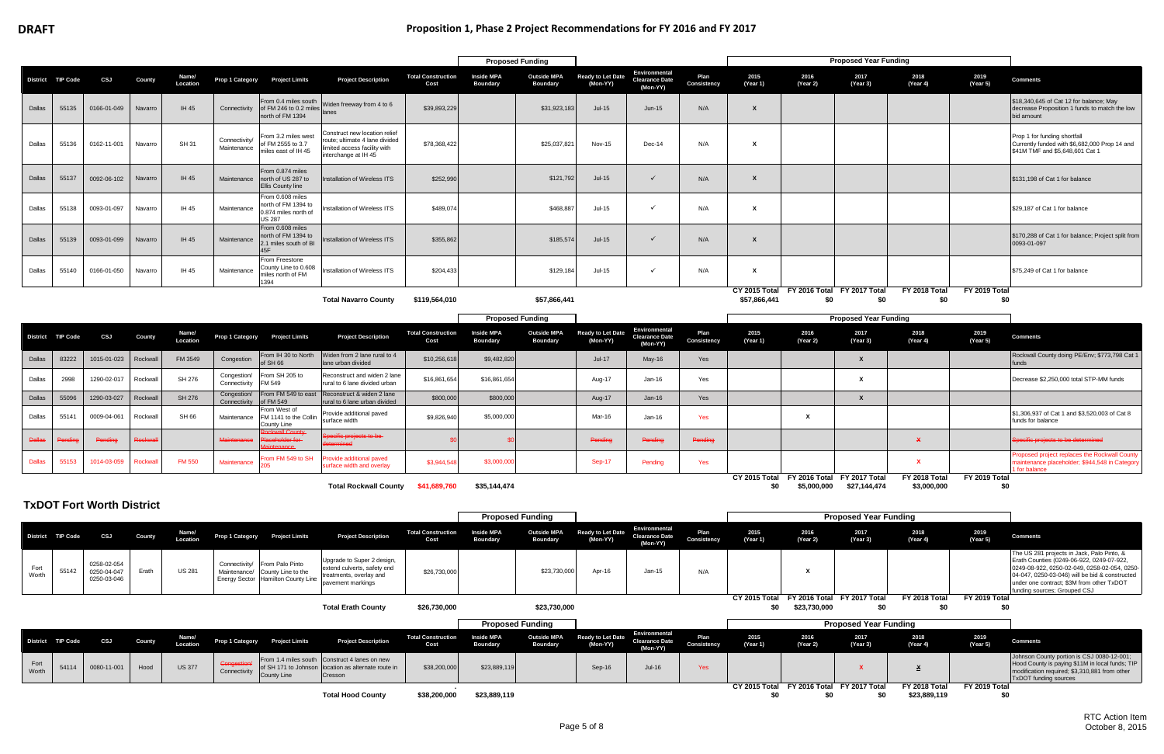|               |                   |                                           |                |                   |                              |                                                                                                          |                                                                                                                      |                                   |                                      | <b>Proposed Funding</b>               |                                      |                                                           |                     |                  |                  | <b>Proposed Year Funding</b>                              |                               |                      |                                                                                                                                                                                                                                                                        |
|---------------|-------------------|-------------------------------------------|----------------|-------------------|------------------------------|----------------------------------------------------------------------------------------------------------|----------------------------------------------------------------------------------------------------------------------|-----------------------------------|--------------------------------------|---------------------------------------|--------------------------------------|-----------------------------------------------------------|---------------------|------------------|------------------|-----------------------------------------------------------|-------------------------------|----------------------|------------------------------------------------------------------------------------------------------------------------------------------------------------------------------------------------------------------------------------------------------------------------|
|               | District TIP Code | CSJ                                       | <b>County</b>  | Name/<br>Location | Prop 1 Category              | <b>Project Limits</b>                                                                                    | <b>Project Description</b>                                                                                           | <b>Total Construction</b><br>Cost | <b>Inside MPA</b><br><b>Boundary</b> | <b>Outside MPA</b><br><b>Boundary</b> | Ready to Let Date<br>(Mon-YY)        | Environmental<br><b>Clearance Date</b><br>(Mon-YY)        | Plan<br>Consistency | 2015<br>(Year 1) | 2016<br>(Year 2) | 2017<br>(Year 3)                                          | 2018<br>(Year 4)              | 2019<br>(Year 5)     | <b>Comments</b>                                                                                                                                                                                                                                                        |
| Dallas        | 55135             | 0166-01-049                               | Navarro        | IH 45             | Connectivity                 | From 0.4 miles south<br>of FM 246 to 0.2 miles<br>north of FM 1394                                       | Widen freeway from 4 to 6<br>lanes                                                                                   | \$39,893,229                      |                                      | \$31,923,183                          | $Jul-15$                             | Jun-15                                                    | N/A                 | X                |                  |                                                           |                               |                      | \$18,340,645 of Cat 12 for balance; May<br>decrease Proposition 1 funds to match the low<br>bid amount                                                                                                                                                                 |
| Dallas        | 55136             | 0162-11-001                               | Navarro        | <b>SH 31</b>      | Connectivity/<br>Maintenance | From 3.2 miles west<br>of FM 2555 to 3.7<br>miles east of IH 45                                          | Construct new location relief<br>oute; ultimate 4 lane divided<br>imited access facility with<br>nterchange at IH 45 | \$78,368,422                      |                                      | \$25,037,821                          | <b>Nov-15</b>                        | Dec-14                                                    | N/A                 | х                |                  |                                                           |                               |                      | Prop 1 for funding shortfall<br>Currently funded with \$6,682,000 Prop 14 and<br>\$41M TMF and \$5,648,601 Cat 1                                                                                                                                                       |
| Dallas        | 55137             | 0092-06-102                               | Navarro        | IH 45             | Maintenance                  | From 0.874 miles<br>north of US 287 to<br><b>Ellis County line</b>                                       | nstallation of Wireless ITS                                                                                          | \$252,990                         |                                      | \$121,792                             | $Jul-15$                             | $\checkmark$                                              | N/A                 | X                |                  |                                                           |                               |                      | \$131,198 of Cat 1 for balance                                                                                                                                                                                                                                         |
| Dallas        | 55138             | 0093-01-097                               | Navarro        | IH 45             | Maintenance                  | From 0.608 miles<br>north of FM 1394 to<br>0.874 miles north of<br><b>US 287</b>                         | stallation of Wireless ITS                                                                                           | \$489,074                         |                                      | \$468,887                             | Jul-15                               | $\checkmark$                                              | N/A                 | X                |                  |                                                           |                               |                      | \$29,187 of Cat 1 for balance                                                                                                                                                                                                                                          |
| Dallas        | 55139             | 0093-01-099                               | Navarro        | IH 45             | Maintenance                  | From 0.608 miles<br>north of FM 1394 to<br>2.1 miles south of BI<br>45F                                  | stallation of Wireless ITS                                                                                           | \$355,862                         |                                      | \$185,574                             | $Jul-15$                             | $\checkmark$                                              | N/A                 | X                |                  |                                                           |                               |                      | \$170,288 of Cat 1 for balance; Project split from<br>0093-01-097                                                                                                                                                                                                      |
| Dallas        | 55140             | 0166-01-050                               | Navarro        | IH 45             | Maintenance                  | From Freestone<br>County Line to 0.608<br>niles north of FM<br>1394                                      | nstallation of Wireless ITS                                                                                          | \$204,433                         |                                      | \$129,184                             | Jul-15                               | $\checkmark$                                              | N/A                 | x                |                  |                                                           |                               |                      | \$75,249 of Cat 1 for balance                                                                                                                                                                                                                                          |
|               |                   |                                           |                |                   |                              |                                                                                                          | <b>Total Navarro County</b>                                                                                          | \$119,564,010                     |                                      | \$57,866,441                          |                                      |                                                           |                     | \$57,866,441     | \$0              | CY 2015 Total FY 2016 Total FY 2017 Total<br>\$0          | FY 2018 Total<br>\$0          | FY 2019 Total<br>\$0 |                                                                                                                                                                                                                                                                        |
|               |                   |                                           |                |                   |                              |                                                                                                          |                                                                                                                      |                                   |                                      | <b>Proposed Funding</b>               |                                      |                                                           |                     |                  |                  | <b>Proposed Year Funding</b>                              |                               |                      |                                                                                                                                                                                                                                                                        |
|               | District TIP Code | CSJ                                       | County         | Name/<br>Location | <b>Prop 1 Category</b>       | <b>Project Limits</b>                                                                                    | <b>Project Description</b>                                                                                           | <b>Total Construction</b><br>Cost | <b>Inside MPA</b><br><b>Boundary</b> | <b>Outside MPA</b><br><b>Boundary</b> | <b>Ready to Let Date</b><br>(Mon-YY) | <b>Environmental</b><br><b>Clearance Date</b><br>(Mon-YY) | Plan<br>Consistency | 2015<br>(Year 1) | 2016<br>(Year 2) | 2017<br>(Year 3)                                          | 2018<br>(Year 4)              | 2019<br>(Year 5)     | <b>Comments</b>                                                                                                                                                                                                                                                        |
| Dallas        | 83222             | 1015-01-023                               | Rockwall       | FM 3549           | Congestion                   | From IH 30 to North<br>66 HZ fo                                                                          | Widen from 2 lane rural to 4<br>lane urban divided                                                                   | \$10,256,618                      | \$9,482,820                          |                                       | $Jul-17$                             | May-16                                                    | Yes                 |                  |                  | $\mathbf{x}$                                              |                               |                      | Rockwall County doing PE/Env; \$773,798 Cat 1<br>funds                                                                                                                                                                                                                 |
| Dallas        | 2998              | 1290-02-017                               | Rockwall       | SH 276            | Congestion/<br>Connectivity  | From SH 205 to<br>FM 549                                                                                 | Reconstruct and widen 2 lane<br>rural to 6 lane divided urban                                                        | \$16,861,654                      | \$16,861,654                         |                                       | Aug-17                               | Jan-16                                                    | Yes                 |                  |                  | X                                                         |                               |                      | Decrease \$2,250,000 total STP-MM funds                                                                                                                                                                                                                                |
| Dallas        | 55096             | 1290-03-027                               | Rockwall       | <b>SH 276</b>     | Congestion/<br>Connectivity  | From FM 549 to east<br>of FM 549                                                                         | Reconstruct & widen 2 lane<br>rural to 6 lane urban divided                                                          | \$800,000                         | \$800,000                            |                                       | Aug-17                               | Jan-16                                                    | Yes                 |                  |                  | $\mathsf{x}$                                              |                               |                      |                                                                                                                                                                                                                                                                        |
| Dallas        | 55141             | 0009-04-061                               | Rockwall       | SH 66             | Maintenance                  | From West of<br>FM 1141 to the Collin<br>County Line                                                     | Provide additional paved<br>surface width                                                                            | \$9,826,940                       | \$5,000,000                          |                                       | Mar-16                               | Jan-16                                                    | Yes                 |                  | X                |                                                           |                               |                      | \$1,306,937 of Cat 1 and \$3,520,003 of Cat 8<br>funds for balance                                                                                                                                                                                                     |
| <b>Dallar</b> |                   | Pending                                   | <b>Rockwa</b>  |                   | Maintenance                  | <b>Sckwall County</b><br>aceholder for-                                                                  | pecific projects to be-<br>mined                                                                                     |                                   |                                      |                                       | Pending                              | Pending                                                   | Pending             |                  |                  |                                                           |                               |                      | Specific projects to be determined                                                                                                                                                                                                                                     |
| <b>Dallas</b> | 55153             | 1014-03-059                               | <b>Rockwal</b> | <b>FM 550</b>     | Maintenance                  | rom FM 549 to SH                                                                                         | rovide additional paved<br>surface width and overlay                                                                 | \$3,944,54                        | \$3,000,000                          |                                       | Sep-17                               | Pending                                                   | Yes                 |                  |                  |                                                           |                               |                      | roposed project replaces the Rockwall County<br>naintenance placeholder; \$944,548 in Category<br>I for balance                                                                                                                                                        |
|               |                   |                                           |                |                   |                              |                                                                                                          | <b>Total Rockwall County</b>                                                                                         | \$41,689,760                      | \$35,144,474                         |                                       |                                      |                                                           |                     | \$0              | \$5,000,000      | CY 2015 Total FY 2016 Total FY 2017 Total<br>\$27,144,474 | FY 2018 Total<br>\$3,000,000  | FY 2019 Total<br>\$0 |                                                                                                                                                                                                                                                                        |
|               |                   | <b>TxDOT Fort Worth District</b>          |                |                   |                              |                                                                                                          |                                                                                                                      |                                   |                                      |                                       |                                      |                                                           |                     |                  |                  |                                                           |                               |                      |                                                                                                                                                                                                                                                                        |
|               |                   |                                           |                |                   |                              |                                                                                                          |                                                                                                                      |                                   |                                      | <b>Proposed Funding</b>               |                                      |                                                           |                     |                  |                  | <b>Proposed Year Funding</b>                              |                               |                      |                                                                                                                                                                                                                                                                        |
|               | District TIP Code | CSJ                                       | County         | Name/<br>Location |                              | Prop 1 Category Project Limits                                                                           | <b>Project Description</b>                                                                                           | <b>Total Construction</b><br>Cost | <b>Inside MPA</b><br>Boundary        | <b>Outside MPA</b><br><b>Boundary</b> | <b>Ready to Let Date</b><br>(Mon-YY) | Environmental<br><b>Clearance Date</b><br>(Mon-YY)        | Plan<br>Consistency | 2015<br>(Year 1) | 2016<br>(Year 2) | 2017<br>(Year 3)                                          | 2018<br>(Year 4)              | 2019<br>(Year 5)     | <b>Comments</b>                                                                                                                                                                                                                                                        |
| Fort<br>Worth | 55142             | 0258-02-054<br>0250-04-047<br>0250-03-046 | Erath          | <b>US 281</b>     |                              | Connectivity/ From Palo Pinto<br>Maintenance/ County Line to the<br>Energy Sector   Hamilton County Line | Jpgrade to Super 2 design,<br>extend culverts, safety end<br>treatments, overlay and<br>pavement markings            | \$26,730,000                      |                                      | \$23,730,000                          | Apr-16                               | Jan-15                                                    | N/A                 |                  | X                |                                                           |                               |                      | The US 281 projects in Jack, Palo Pinto, &<br>Erath Counties (0249-06-922, 0249-07-922,<br>0249-08-922, 0250-02-049, 0258-02-054, 0250-<br>04-047, 0250-03-046) will be bid & constructed<br>under one contract; \$3M from other TxDOT<br>funding sources; Grouped CSJ |
|               |                   |                                           |                |                   |                              |                                                                                                          | <b>Total Erath County</b>                                                                                            | \$26,730,000                      |                                      | \$23,730,000                          |                                      |                                                           |                     | \$0              | \$23,730,000     | CY 2015 Total FY 2016 Total FY 2017 Total<br>\$0          | FY 2018 Total<br>\$0          | FY 2019 Total<br>\$0 |                                                                                                                                                                                                                                                                        |
|               |                   |                                           |                |                   |                              |                                                                                                          |                                                                                                                      |                                   |                                      | <b>Proposed Funding</b>               |                                      |                                                           |                     |                  |                  | <b>Proposed Year Funding</b>                              |                               |                      |                                                                                                                                                                                                                                                                        |
|               | District TIP Code | CSJ                                       | County         | Name/<br>Location | <b>Prop 1 Category</b>       | <b>Project Limits</b>                                                                                    | <b>Project Description</b>                                                                                           | <b>Total Construction</b><br>Cost | <b>Inside MPA</b><br><b>Boundary</b> | <b>Outside MPA</b><br><b>Boundary</b> | Ready to Let Date<br>(Mon-YY)        | Environmental<br><b>Clearance Date</b><br>(Mon-YY)        | Plan<br>Consistency | 2015<br>(Year 1) | 2016<br>(Year 2) | 2017<br>(Year 3)                                          | 2018<br>(Year 4)              | 2019<br>(Year 5)     | <b>Comments</b>                                                                                                                                                                                                                                                        |
| Fort<br>Worth | 54114             | 0080-11-001                               | Hood           | <b>US 377</b>     | Congestion<br>Connectivity   | From 1.4 miles south<br>County Line                                                                      | Construct 4 lanes on new<br>of SH 171 to Johnson location as alternate route in<br>Cresson                           | \$38,200,000                      | \$23,889,119                         |                                       | Sep-16                               | <b>Jul-16</b>                                             | Yes                 |                  |                  | <b>X</b>                                                  | <u>x</u>                      |                      | Johnson County portion is CSJ 0080-12-001;<br>Hood County is paying \$11M in local funds; TIP<br>modification required; \$3,310,881 from other<br><b>TxDOT</b> funding sources                                                                                         |
|               |                   |                                           |                |                   |                              |                                                                                                          | <b>Total Hood County</b>                                                                                             | \$38,200,000                      | \$23,889,119                         |                                       |                                      |                                                           |                     | \$0              | \$0              | CY 2015 Total FY 2016 Total FY 2017 Total<br>\$0          | FY 2018 Total<br>\$23,889,119 | FY 2019 Total<br>\$0 |                                                                                                                                                                                                                                                                        |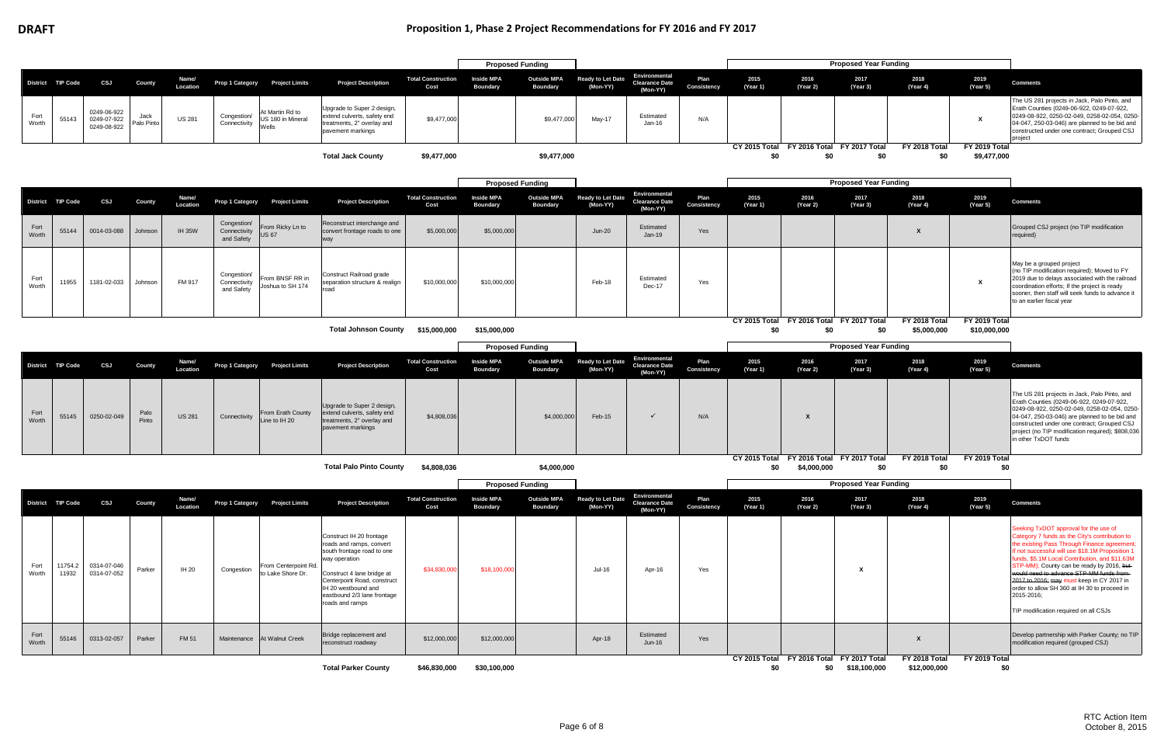|               |                   |                                           |                    |                   |                                           |                                               |                                                                                                                                                                                                                                           |                                   | <b>Proposed Funding</b>              |                                       |                                      |                                                           |                     |                                                  |                                            | <b>Proposed Year Funding</b> |                               |                               |                                                                                                                                                                                                                                                                                                                                                                                                                                                                                             |
|---------------|-------------------|-------------------------------------------|--------------------|-------------------|-------------------------------------------|-----------------------------------------------|-------------------------------------------------------------------------------------------------------------------------------------------------------------------------------------------------------------------------------------------|-----------------------------------|--------------------------------------|---------------------------------------|--------------------------------------|-----------------------------------------------------------|---------------------|--------------------------------------------------|--------------------------------------------|------------------------------|-------------------------------|-------------------------------|---------------------------------------------------------------------------------------------------------------------------------------------------------------------------------------------------------------------------------------------------------------------------------------------------------------------------------------------------------------------------------------------------------------------------------------------------------------------------------------------|
|               | District TIP Code | CSJ                                       | <b>County</b>      | Name/<br>Location | Prop 1 Category                           | <b>Project Limits</b>                         | <b>Project Description</b>                                                                                                                                                                                                                | <b>Total Construction</b><br>Cost | <b>Inside MPA</b><br><b>Boundary</b> | <b>Outside MPA</b><br><b>Boundary</b> | <b>Ready to Let Date</b><br>(Mon-YY) | Environmental<br><b>Clearance Date</b><br>(Mon-YY)        | Plan<br>Consistency | 2015<br>(Year 1)                                 | 2016<br>(Year 2)                           | 2017<br>(Year 3)             | 2018<br>(Year 4)              | 2019<br>(Year 5)              | <b>Comments</b>                                                                                                                                                                                                                                                                                                                                                                                                                                                                             |
| Fort<br>Worth | 55143             | 0249-06-922<br>0249-07-922<br>0249-08-922 | Jack<br>Palo Pinto | <b>US 281</b>     | Congestion/<br>Connectivity               | At Martin Rd to<br>US 180 in Mineral<br>Wells | Upgrade to Super 2 design,<br>extend culverts, safety end<br>treatments, 2" overlay and<br>pavement markings                                                                                                                              | \$9,477,000                       |                                      | \$9,477,000                           | May-17                               | Estimated<br>Jan-16                                       | N/A                 |                                                  |                                            |                              |                               | X                             | The US 281 projects in Jack, Palo Pinto, and<br>Erath Counties (0249-06-922, 0249-07-922,<br>0249-08-922, 0250-02-049, 0258-02-054, 0250-<br>04-047, 250-03-046) are planned to be bid and<br>constructed under one contract; Grouped CSJ<br>project                                                                                                                                                                                                                                        |
|               |                   |                                           |                    |                   |                                           |                                               | <b>Total Jack County</b>                                                                                                                                                                                                                  | \$9,477,000                       |                                      | \$9,477,000                           |                                      |                                                           |                     | CY 2015 Total FY 2016 Total FY 2017 Total<br>\$0 | \$0                                        | \$0                          | FY 2018 Total<br>\$0          | FY 2019 Total<br>\$9,477,000  |                                                                                                                                                                                                                                                                                                                                                                                                                                                                                             |
|               |                   |                                           |                    |                   |                                           |                                               |                                                                                                                                                                                                                                           |                                   | <b>Proposed Funding</b>              |                                       |                                      |                                                           |                     |                                                  |                                            | <b>Proposed Year Funding</b> |                               |                               |                                                                                                                                                                                                                                                                                                                                                                                                                                                                                             |
|               | District TIP Code | CSJ                                       | County             | Name/<br>Location | <b>Prop 1 Category</b>                    | <b>Project Limits</b>                         | <b>Project Description</b>                                                                                                                                                                                                                | <b>Total Construction</b><br>Cost | <b>Inside MPA</b><br>Boundary        | <b>Outside MPA</b><br><b>Boundary</b> | <b>Ready to Let Date</b><br>(Mon-YY) | <b>Environmental</b><br><b>Clearance Date</b><br>(Mon-YY) | Plan<br>Consistency | 2015<br>(Year 1)                                 | 2016<br>(Year 2)                           | 2017<br>(Year 3)             | 2018<br>(Year 4)              | 2019<br>(Year 5)              | <b>Comments</b>                                                                                                                                                                                                                                                                                                                                                                                                                                                                             |
| Fort<br>Worth | 55144             | 0014-03-088                               | Johnson            | <b>IH 35W</b>     | Congestion/<br>Connectivity<br>and Safety | From Ricky Ln to<br><b>US 67</b>              | Reconstruct interchange and<br>convert frontage roads to one<br>way                                                                                                                                                                       | \$5,000,000                       | \$5,000,000                          |                                       | $Jun-20$                             | Estimated<br>$Jan-19$                                     | Yes                 |                                                  |                                            |                              |                               |                               | Grouped CSJ project (no TIP modification<br>required)                                                                                                                                                                                                                                                                                                                                                                                                                                       |
| Fort<br>Worth | 11955             | 1181-02-033                               | Johnson            | FM 917            | Congestion/<br>Connectivity<br>and Safety | From BNSF RR in<br>Joshua to SH 174           | Construct Railroad grade<br>separation structure & realign<br>road                                                                                                                                                                        | \$10,000,000                      | \$10,000,000                         |                                       | Feb-18                               | Estimated<br><b>Dec-17</b>                                | Yes                 |                                                  |                                            |                              |                               | х                             | May be a grouped project<br>(no TIP modification required); Moved to FY<br>2019 due to delays associated with the railroad<br>coordination efforts; If the project is ready<br>sooner, then staff will seek funds to advance it<br>to an earlier fiscal year                                                                                                                                                                                                                                |
|               |                   |                                           |                    |                   |                                           |                                               | <b>Total Johnson County</b>                                                                                                                                                                                                               | \$15,000,000                      | \$15,000,000                         |                                       |                                      |                                                           |                     | <b>CY 2015 Total</b><br>\$0                      | FY 2016 Total FY 2017 Total<br>\$0         | \$0                          | FY 2018 Total<br>\$5,000,000  | FY 2019 Total<br>\$10,000,000 |                                                                                                                                                                                                                                                                                                                                                                                                                                                                                             |
|               |                   |                                           |                    |                   |                                           |                                               |                                                                                                                                                                                                                                           |                                   | <b>Proposed Funding</b>              |                                       |                                      |                                                           |                     |                                                  |                                            | <b>Proposed Year Funding</b> |                               |                               |                                                                                                                                                                                                                                                                                                                                                                                                                                                                                             |
|               | District TIP Code | CSJ                                       | <b>County</b>      | Name/<br>Location | Prop 1 Category                           | <b>Project Limits</b>                         | <b>Project Description</b>                                                                                                                                                                                                                | <b>Total Construction</b><br>Cost | <b>Inside MPA</b><br><b>Boundary</b> | <b>Outside MPA</b><br><b>Boundary</b> | <b>Ready to Let Date</b><br>(Mon-YY) | Environmental<br><b>Clearance Date</b><br>(Mon-YY)        | Plan<br>Consistency | 2015<br>(Year 1)                                 | 2016<br>(Year 2)                           | 2017<br>(Year 3)             | 2018<br>(Year 4)              | 2019<br>(Year 5)              | <b>Comments</b>                                                                                                                                                                                                                                                                                                                                                                                                                                                                             |
| Fort<br>Worth | 55145             | 0250-02-049                               | Palo<br>Pinto      | <b>US 281</b>     | Connectivity                              | From Erath County<br>Line to IH 20            | Upgrade to Super 2 design,<br>extend culverts, safety end<br>treatments, 2" overlay and<br>pavement markings                                                                                                                              | \$4,808,036                       |                                      | \$4,000,000                           | Feb-15                               | $\checkmark$                                              | N/A                 |                                                  | X                                          |                              |                               |                               | The US 281 projects in Jack, Palo Pinto, and<br>Erath Counties (0249-06-922, 0249-07-922,<br>0249-08-922, 0250-02-049, 0258-02-054, 0250-<br>04-047, 250-03-046) are planned to be bid and<br>constructed under one contract; Grouped CSJ<br>project (no TIP modification required); \$808,036<br>in other TxDOT funds                                                                                                                                                                      |
|               |                   |                                           |                    |                   |                                           |                                               | <b>Total Palo Pinto County</b>                                                                                                                                                                                                            | \$4,808,036                       |                                      | \$4,000,000                           |                                      |                                                           |                     | CY 2015 Total<br>\$0                             | FY 2016 Total FY 2017 Total<br>\$4,000,000 | \$0                          | FY 2018 Total<br>\$0          | FY 2019 Total<br>\$0          |                                                                                                                                                                                                                                                                                                                                                                                                                                                                                             |
|               |                   |                                           |                    |                   |                                           |                                               |                                                                                                                                                                                                                                           |                                   | <b>Proposed Funding</b>              |                                       |                                      |                                                           |                     |                                                  |                                            | <b>Proposed Year Funding</b> |                               |                               |                                                                                                                                                                                                                                                                                                                                                                                                                                                                                             |
|               | District TIP Code | CSJ                                       | County             | Name/<br>Location | Prop 1 Category                           | <b>Project Limits</b>                         | <b>Project Description</b>                                                                                                                                                                                                                | <b>Total Construction</b><br>Cost | <b>Inside MPA</b><br>Boundary        | <b>Outside MPA</b><br><b>Boundary</b> | Ready to Let Date<br>(Mon-YY)        | Environmental<br><b>Clearance Date</b><br>(Mon-YY)        | Plan<br>Consistency | 2015<br>(Year 1)                                 | 2016<br>(Year 2)                           | 2017<br>(Year 3)             | 2018<br>(Year 4)              | 2019<br>(Year 5)              | <b>Comments</b>                                                                                                                                                                                                                                                                                                                                                                                                                                                                             |
| Fort<br>Worth | 11754.2<br>11932  | 0314-07-046<br>0314-07-052                | Parker             | IH 20             | Congestion                                | From Centerpoint Rd.<br>to Lake Shore Dr.     | Construct IH 20 frontage<br>roads and ramps, convert<br>south frontage road to one<br>way operation<br>Construct 4 lane bridge at<br>Centerpoint Road, construct<br>IH 20 westbound and<br>eastbound 2/3 lane frontage<br>roads and ramps | \$34,830,000                      | \$18,100,000                         |                                       | Jul-16                               | Apr-16                                                    | Yes                 |                                                  |                                            | X                            |                               |                               | Seeking TxDOT approval for the use of<br>Category 7 funds as the City's contribution to<br>the existing Pass Through Finance agreement;<br>If not successful will use \$18.1M Proposition 1<br>funds, \$5.1M Local Contribution, and \$11.63M<br>STP-MM); County can be ready by 2016, but-<br>would need to advance STP-MM funds from-<br>2017 to 2016; may must keep in CY 2017 in<br>order to allow SH 360 at IH 30 to proceed in<br>2015-2016;<br>TIP modification required on all CSJs |
| Fort<br>Worth | 55146             | 0313-02-057                               | Parker             | <b>FM 51</b>      |                                           | Maintenance At Walnut Creek                   | Bridge replacement and<br>reconstruct roadway                                                                                                                                                                                             | \$12,000,000                      | \$12,000,000                         |                                       | Apr-18                               | Estimated<br><b>Jun-16</b>                                | Yes                 |                                                  |                                            |                              |                               |                               | Develop partnership with Parker County; no TIP<br>modification required (grouped CSJ)                                                                                                                                                                                                                                                                                                                                                                                                       |
|               |                   |                                           |                    |                   |                                           |                                               | <b>Total Parker County</b>                                                                                                                                                                                                                | \$46,830,000                      | \$30,100,000                         |                                       |                                      |                                                           |                     | CY 2015 Total FY 2016 Total FY 2017 Total<br>\$0 |                                            | \$0 \$18,100,000             | FY 2018 Total<br>\$12,000,000 | FY 2019 Total<br>\$0          |                                                                                                                                                                                                                                                                                                                                                                                                                                                                                             |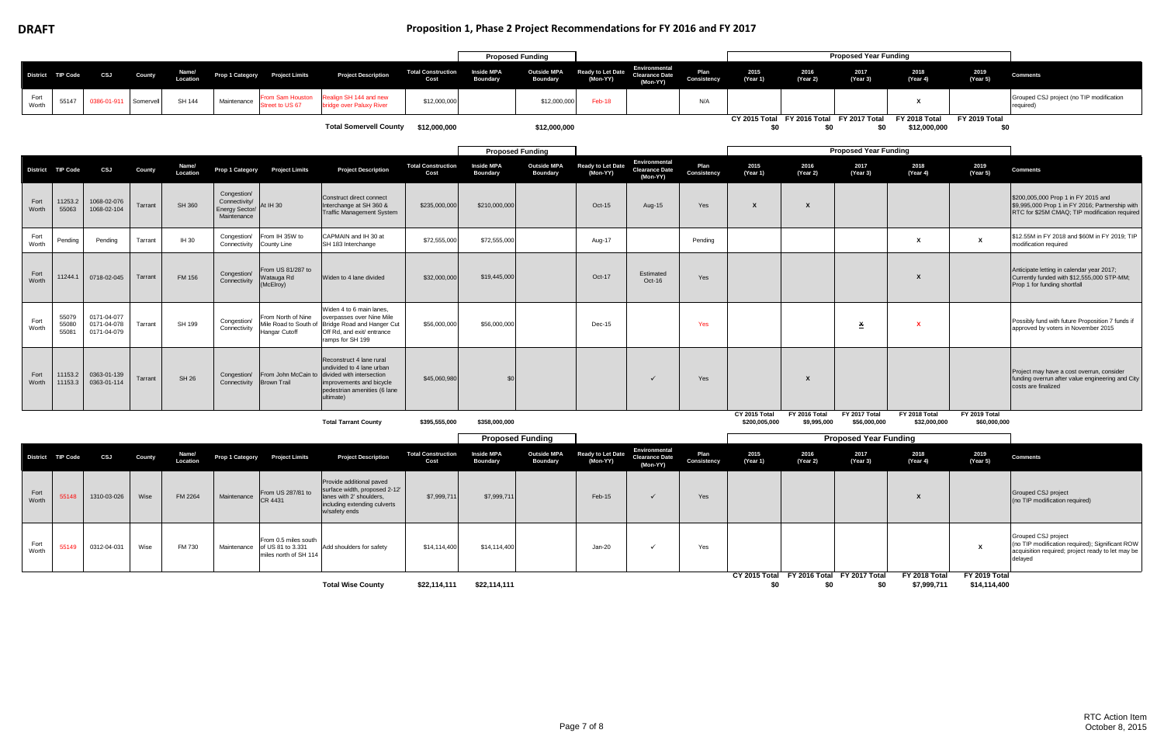## **DRAFT Proposition 1, Phase 2 Project Recommendations for FY 2016 and FY 2017**

|               |                         |                                           |           |                   |                                                               |                                              |                                                                                                                                                             |                                   | <b>Proposed Funding</b>              |                                       |                                      |                                                    |                     |                                |                                                  | <b>Proposed Year Funding</b>  |                               |                               |                                                                                                                                         |
|---------------|-------------------------|-------------------------------------------|-----------|-------------------|---------------------------------------------------------------|----------------------------------------------|-------------------------------------------------------------------------------------------------------------------------------------------------------------|-----------------------------------|--------------------------------------|---------------------------------------|--------------------------------------|----------------------------------------------------|---------------------|--------------------------------|--------------------------------------------------|-------------------------------|-------------------------------|-------------------------------|-----------------------------------------------------------------------------------------------------------------------------------------|
|               | District TIP Code       | CSJ                                       | County    | Name/<br>Location | <b>Prop 1 Category</b>                                        | <b>Project Limits</b>                        | <b>Project Description</b>                                                                                                                                  | <b>Total Construction</b><br>Cost | <b>Inside MPA</b><br><b>Boundary</b> | <b>Outside MPA</b><br><b>Boundary</b> | <b>Ready to Let Date</b><br>(Mon-YY) | Environmental<br><b>Clearance Date</b><br>(Mon-YY) | Plan<br>Consistency | 2015<br>(Year 1)               | 2016<br>(Year 2)                                 | 2017<br>(Year 3)              | 2018<br>(Year 4)              | 2019<br>(Year 5)              | <b>Comments</b>                                                                                                                         |
| Fort<br>Worth | 55147                   | 0386-01-911                               | Somervell | <b>SH 144</b>     | Maintenance                                                   | om Sam Houston<br>reet to US 67              | ealign SH 144 and new<br>ridge over Paluxy River                                                                                                            | \$12,000,000                      |                                      | \$12,000,000                          | Feb-18                               |                                                    | N/A                 |                                |                                                  |                               | X                             |                               | Grouped CSJ project (no TIP modification<br>required)                                                                                   |
|               |                         |                                           |           |                   |                                                               |                                              | <b>Total Somervell County</b>                                                                                                                               | \$12,000,000                      |                                      | \$12,000,000                          |                                      |                                                    |                     | \$0                            | CY 2015 Total FY 2016 Total FY 2017 Total<br>\$0 | \$0                           | FY 2018 Total<br>\$12,000,000 | FY 2019 Total<br>\$0          |                                                                                                                                         |
|               |                         |                                           |           |                   |                                                               |                                              |                                                                                                                                                             |                                   | <b>Proposed Funding</b>              |                                       |                                      |                                                    |                     |                                |                                                  | <b>Proposed Year Funding</b>  |                               |                               |                                                                                                                                         |
|               | District TIP Code       | CSJ                                       | County    | Name/<br>Location | Prop 1 Category                                               | <b>Project Limits</b>                        | <b>Project Description</b>                                                                                                                                  | <b>Total Construction</b><br>Cost | <b>Inside MPA</b><br><b>Boundary</b> | <b>Outside MPA</b><br><b>Boundary</b> | <b>Ready to Let Date</b><br>(Mon-YY) | Environmental<br><b>Clearance Date</b><br>(Mon-YY) | Plan<br>Consistency | 2015<br>(Year 1)               | 2016<br>(Year 2)                                 | 2017<br>(Year 3)              | 2018<br>(Year 4)              | 2019<br>(Year 5)              | <b>Comments</b>                                                                                                                         |
| Fort<br>Worth | 11253.2<br>55063        | 1068-02-076<br>1068-02-104                | Tarrant   | <b>SH 360</b>     | Congestion/<br>Connectivity/<br>Energy Sector/<br>Maintenance | At IH 30                                     | Construct direct connect<br>Interchange at SH 360 &<br><b>Traffic Management System</b>                                                                     | \$235,000,000                     | \$210,000,000                        |                                       | Oct-15                               | Aug-15                                             | Yes                 | $\mathbf{x}$                   | $\boldsymbol{\mathsf{x}}$                        |                               |                               |                               | \$200,005,000 Prop 1 in FY 2015 and<br>\$9,995,000 Prop 1 in FY 2016; Partnership with<br>RTC for \$25M CMAQ; TIP modification required |
| Fort<br>Worth | Pending                 | Pending                                   | Tarrant   | IH 30             | Congestion/<br>Connectivity County Line                       | From IH 35W to                               | CAPMAIN and IH 30 at<br>SH 183 Interchange                                                                                                                  | \$72,555,000                      | \$72,555,000                         |                                       | Aug-17                               |                                                    | Pending             |                                |                                                  |                               | x                             | $\mathbf{x}$                  | \$12.55M in FY 2018 and \$60M in FY 2019; TIP<br>modification required                                                                  |
| Fort<br>Worth | 11244.1                 | 0718-02-045                               | Tarrant   | FM 156            | Congestion/<br>Connectivity                                   | From US 81/287 to<br>Watauga Rd<br>(McElroy) | Widen to 4 lane divided                                                                                                                                     | \$32,000,000                      | \$19,445,000                         |                                       | Oct-17                               | Estimated<br>Oct-16                                | Yes                 |                                |                                                  |                               |                               |                               | Anticipate letting in calendar year 2017;<br>Currently funded with \$12,555,000 STP-MM;<br>Prop 1 for funding shortfall                 |
| Fort<br>Worth | 55079<br>55080<br>55081 | 0171-04-077<br>0171-04-078<br>0171-04-079 | Tarrant   | SH 199            | Congestion/<br>Connectivity                                   | From North of Nine<br>Hangar Cutoff          | Widen 4 to 6 main lanes,<br>overpasses over Nine Mile<br>Mile Road to South of Bridge Road and Hanger Cut<br>Off Rd, and exit/ entrance<br>ramps for SH 199 | \$56,000,000                      | \$56,000,000                         |                                       | Dec-15                               |                                                    | Yes                 |                                |                                                  | $\mathbf{x}$                  |                               |                               | Possibly fund with future Proposition 7 funds if<br>approved by voters in November 2015                                                 |
| Fort<br>Worth | 11153.2<br>11153.3      | 0363-01-139<br>0363-01-114                | Tarrant   | <b>SH 26</b>      | Congestion/<br>Connectivity Brown Trail                       | From John McCain to                          | Reconstruct 4 lane rural<br>undivided to 4 lane urban<br>divided with intersection<br>improvements and bicycle<br>pedestrian amenities (6 lane<br>ultimate) | \$45,060,980                      | \$ <sub>6</sub>                      |                                       |                                      | $\checkmark$                                       | Yes                 |                                | $\boldsymbol{\mathsf{x}}$                        |                               |                               |                               | Project may have a cost overrun, consider<br>funding overrun after value engineering and City<br>costs are finalized                    |
|               |                         |                                           |           |                   |                                                               |                                              | <b>Total Tarrant County</b>                                                                                                                                 | \$395,555,000                     | \$358,000,000                        |                                       |                                      |                                                    |                     | CY 2015 Total<br>\$200,005,000 | FY 2016 Total<br>\$9,995,000                     | FY 2017 Total<br>\$56,000,000 | FY 2018 Total<br>\$32,000,000 | FY 2019 Total<br>\$60,000,000 |                                                                                                                                         |
|               |                         |                                           |           |                   |                                                               |                                              |                                                                                                                                                             |                                   | <b>Proposed Funding</b>              |                                       |                                      |                                                    |                     |                                |                                                  | <b>Proposed Year Funding</b>  |                               |                               |                                                                                                                                         |
|               | District TIP Code       | CSJ                                       | County    | Name/<br>Location | Prop 1 Category                                               | <b>Project Limits</b>                        | <b>Project Description</b>                                                                                                                                  | <b>Total Construction</b><br>Cost | <b>Inside MPA</b><br>Boundary        | <b>Outside MPA</b><br><b>Boundary</b> | <b>Ready to Let Date</b><br>(Mon-YY) | Environmental<br><b>Clearance Date</b><br>(Mon-YY) | Plan<br>Consistency | 2015<br>(Year 1)               | 2016<br>(Year 2)                                 | 2017<br>(Year 3)              | 2018<br>(Year 4)              | 2019<br>(Year 5)              | <b>Comments</b>                                                                                                                         |
| Fort<br>Worth | 55148                   | 1310-03-026                               | Wise      | FM 2264           | Maintenance                                                   | From US 287/81 to<br>CR 4431                 | Provide additional paved<br>surface width, proposed 2-12'<br>lanes with 2' shoulders,<br>including extending culverts                                       | \$7,999,711                       | \$7,999,71                           |                                       | Feb-15                               | $\checkmark$                                       | Yes                 |                                |                                                  |                               | X                             |                               | Grouped CSJ project<br>(no TIP modification required)                                                                                   |

w/safety ends Fort<br>Worth Worth <sup>55149</sup> 0312-04-031 Wise FM 730 Maintenance From 0.5 miles south of US 81 to 3.331 miles north of SH 114 Add shoulders for safety \$14,114,400 \$14,114,400 Jan-20 Yes **X**

|                  |                  | <b>I</b> TUPUSCU TCAI I UNUMIY |                  |                    |                                                                                                                                        |
|------------------|------------------|--------------------------------|------------------|--------------------|----------------------------------------------------------------------------------------------------------------------------------------|
| 2015<br>(Year 1) | 2016<br>(Year 2) | 2017<br>(Year 3)               | 2018<br>(Year 4) | 2019<br>(Year 5)   | <b>Comments</b>                                                                                                                        |
|                  |                  |                                | $\boldsymbol{x}$ |                    | Grouped CSJ project<br>(no TIP modification required)                                                                                  |
|                  |                  |                                |                  | x                  | Grouped CSJ project<br>(no TIP modification required); Significant ROW<br>acquisition required; project ready to let may be<br>delayed |
| CY 2015 Total    |                  | FY 2016 Total FY 2017 Total    | FY 2018 Total    | FY 2019 Total      |                                                                                                                                        |
| ሖ                |                  | ሖ                              | $0.700$ $744$    | <b>CAR ARR ADD</b> |                                                                                                                                        |

|                          |              |              | CY 2015 Total |  | FY 2016 Total FY 2017 Total FY 2018 Total FY 2019 Total |              |
|--------------------------|--------------|--------------|---------------|--|---------------------------------------------------------|--------------|
| <b>Total Wise County</b> | \$22,114,111 | \$22,114,111 |               |  | \$7,999,711                                             | \$14,114,400 |